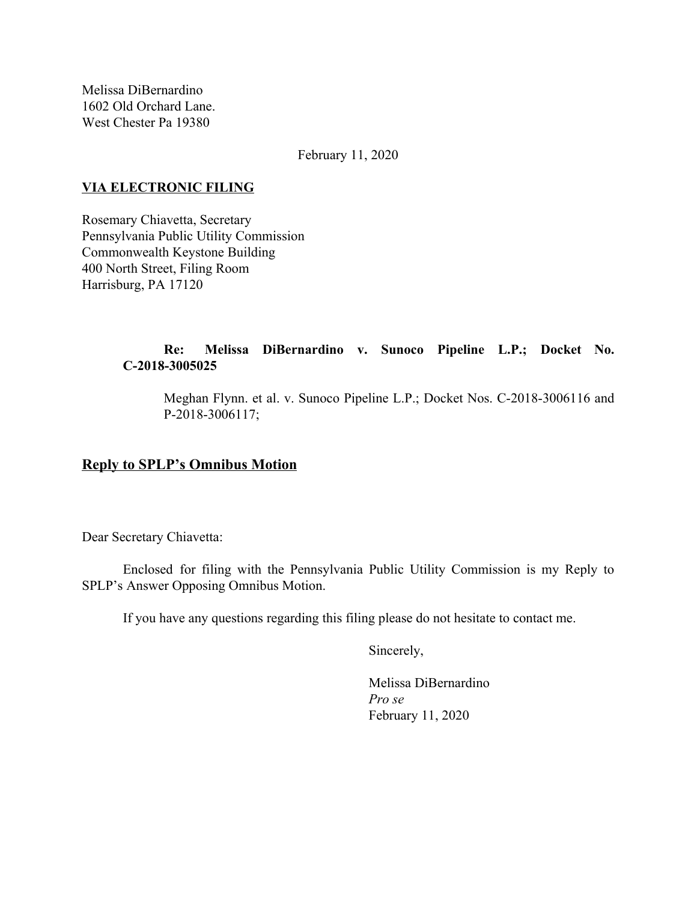Melissa DiBernardino 1602 Old Orchard Lane. West Chester Pa 19380

February 11, 2020

### **VIA ELECTRONIC FILING**

Rosemary Chiavetta, Secretary Pennsylvania Public Utility Commission Commonwealth Keystone Building 400 North Street, Filing Room Harrisburg, PA 17120

# **Re: Melissa DiBernardino v. Sunoco Pipeline L.P.; Docket No. C-2018-3005025**

Meghan Flynn. et al. v. Sunoco Pipeline L.P.; Docket Nos. C-2018-3006116 and P-2018-3006117;

# **Reply to SPLP's Omnibus Motion**

Dear Secretary Chiavetta:

Enclosed for filing with the Pennsylvania Public Utility Commission is my Reply to SPLP's Answer Opposing Omnibus Motion.

If you have any questions regarding this filing please do not hesitate to contact me.

Sincerely,

Melissa DiBernardino *Pro se* February 11, 2020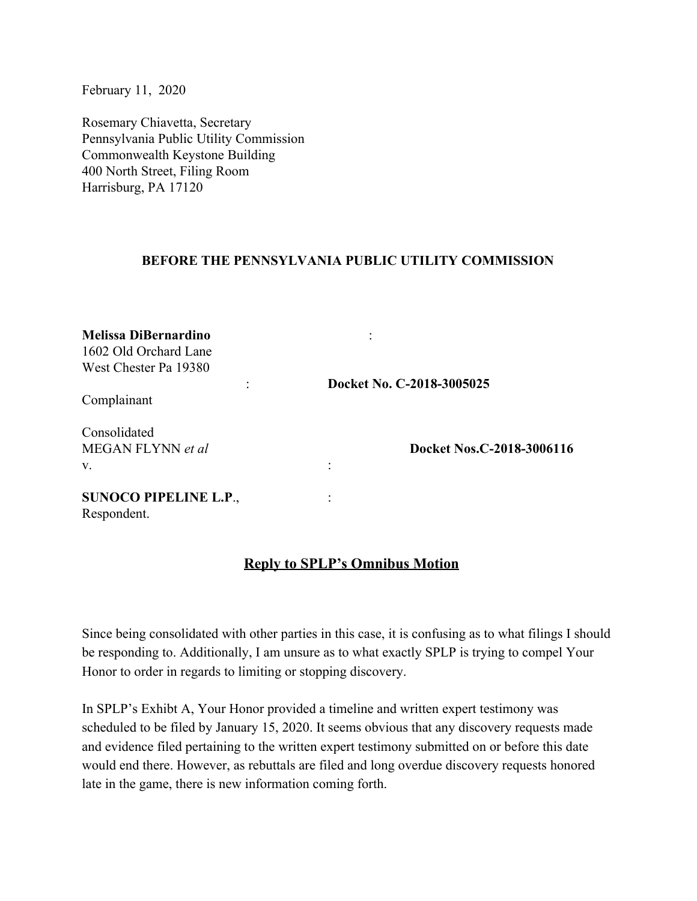February 11, 2020

Rosemary Chiavetta, Secretary Pennsylvania Public Utility Commission Commonwealth Keystone Building 400 North Street, Filing Room Harrisburg, PA 17120

#### **BEFORE THE PENNSYLVANIA PUBLIC UTILITY COMMISSION**

| <b>Melissa DiBernardino</b><br>1602 Old Orchard Lane |                           |
|------------------------------------------------------|---------------------------|
| West Chester Pa 19380                                |                           |
|                                                      | Docket No. C-2018-3005025 |
| Complainant                                          |                           |
| Consolidated                                         |                           |
| MEGAN FLYNN et al                                    | Docket Nos.C-2018-3006116 |
| V.                                                   |                           |
| <b>SUNOCO PIPELINE L.P.,</b>                         |                           |
| Respondent.                                          |                           |

# **Reply to SPLP's Omnibus Motion**

Since being consolidated with other parties in this case, it is confusing as to what filings I should be responding to. Additionally, I am unsure as to what exactly SPLP is trying to compel Your Honor to order in regards to limiting or stopping discovery.

In SPLP's Exhibt A, Your Honor provided a timeline and written expert testimony was scheduled to be filed by January 15, 2020. It seems obvious that any discovery requests made and evidence filed pertaining to the written expert testimony submitted on or before this date would end there. However, as rebuttals are filed and long overdue discovery requests honored late in the game, there is new information coming forth.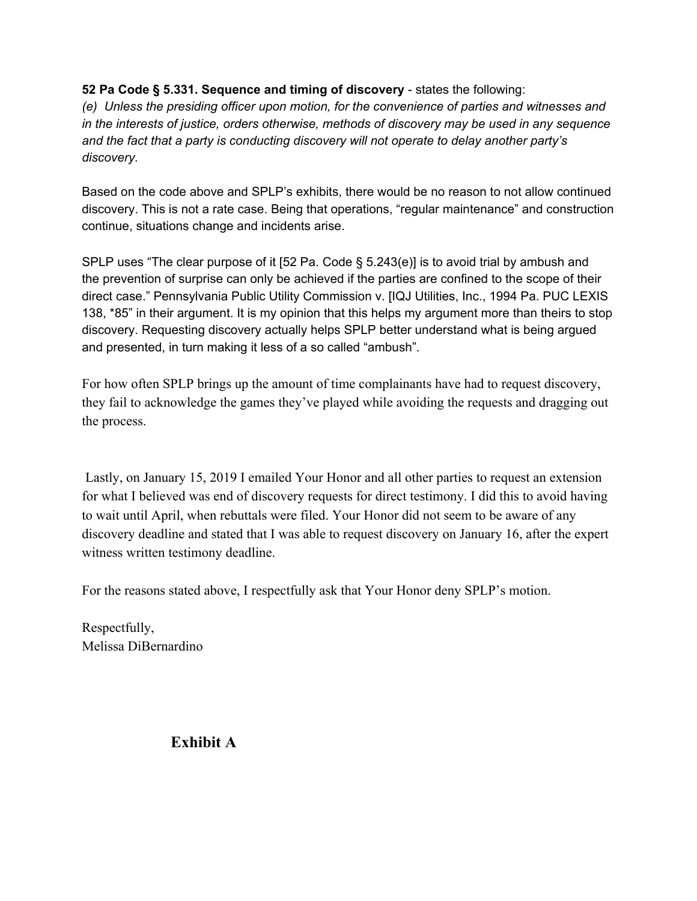### **52 Pa Code § 5.331. Sequence and timing of discovery** - states the following:

*(e) Unless the presiding officer upon motion, for the convenience of parties and witnesses and in the interests of justice, orders otherwise, methods of discovery may be used in any sequence and the fact that a party is conducting discovery will not operate to delay another party's discovery.*

Based on the code above and SPLP's exhibits, there would be no reason to not allow continued discovery. This is not a rate case. Being that operations, "regular maintenance" and construction continue, situations change and incidents arise.

SPLP uses "The clear purpose of it [52 Pa. Code § 5.243(e)] is to avoid trial by ambush and the prevention of surprise can only be achieved if the parties are confined to the scope of their direct case." Pennsylvania Public Utility Commission v. [IQJ Utilities, Inc., 1994 Pa. PUC LEXIS 138, \*85" in their argument. It is my opinion that this helps my argument more than theirs to stop discovery. Requesting discovery actually helps SPLP better understand what is being argued and presented, in turn making it less of a so called "ambush".

For how often SPLP brings up the amount of time complainants have had to request discovery, they fail to acknowledge the games they've played while avoiding the requests and dragging out the process.

 Lastly, on January 15, 2019 I emailed Your Honor and all other parties to request an extension for what I believed was end of discovery requests for direct testimony. I did this to avoid having to wait until April, when rebuttals were filed. Your Honor did not seem to be aware of any discovery deadline and stated that I was able to request discovery on January 16, after the expert witness written testimony deadline.

For the reasons stated above, I respectfully ask that Your Honor deny SPLP's motion.

Respectfully, Melissa DiBernardino

**Exhibit A**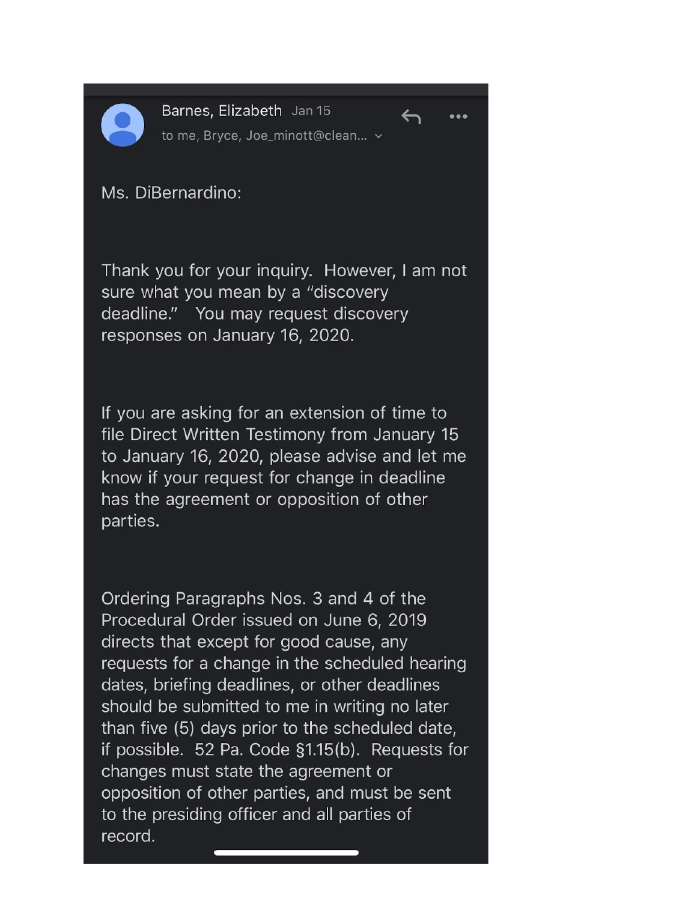

Barnes, Elizabeth Jan 15 to me, Bryce, Joe\_minott@clean... v

 $\leftarrow$ 

 $\bullet\bullet\bullet$ 



Thank you for your inquiry. However, I am not sure what you mean by a "discovery deadline." You may request discovery responses on January 16, 2020.

If you are asking for an extension of time to file Direct Written Testimony from January 15 to January 16, 2020, please advise and let me know if your request for change in deadline has the agreement or opposition of other parties.

Ordering Paragraphs Nos. 3 and 4 of the Procedural Order issued on June 6, 2019 directs that except for good cause, any requests for a change in the scheduled hearing dates, briefing deadlines, or other deadlines should be submitted to me in writing no later than five (5) days prior to the scheduled date, if possible. 52 Pa. Code §1.15(b). Requests for changes must state the agreement or opposition of other parties, and must be sent to the presiding officer and all parties of record.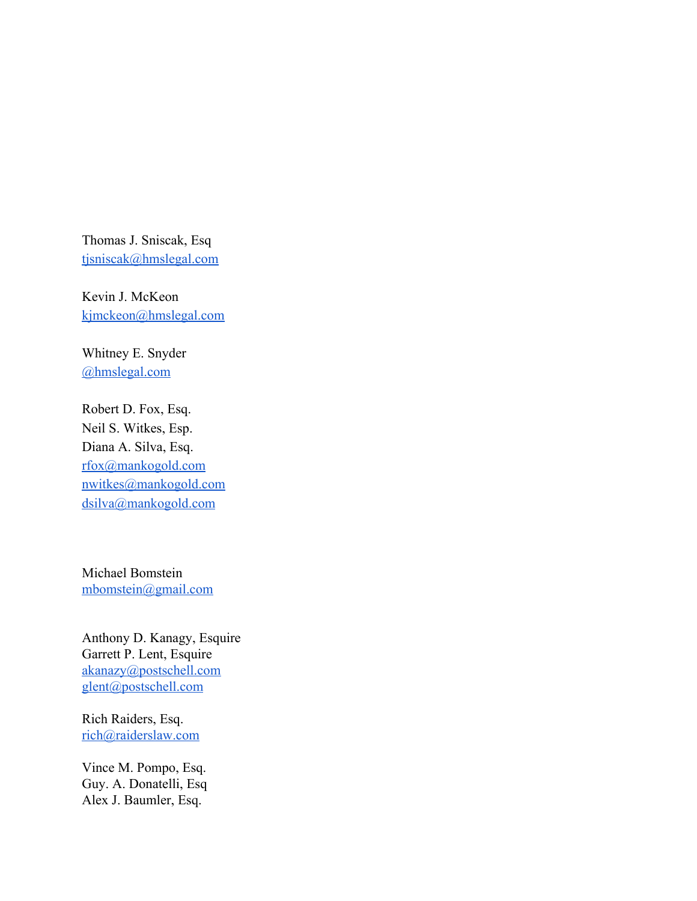Thomas J. Sniscak, Esq [tjsniscak@hmslegal.com](mailto:tjsniscak@hmslegal.com)

Kevin J. McKeon [kjmckeon@hmslegal.com](mailto:kjmckeon@hmslegal.com)

Whitney E. Snyder [@hmslegal.com](mailto:wesnyder@hmslegal.com)

Robert D. Fox, Esq. Neil S. Witkes, Esp. Diana A. Silva, Esq. [rfox@mankogold.com](mailto:rfox@mankogold.com) [nwitkes@mankogold.com](mailto:nwitkes@mankogold.com) [dsilva@mankogold.com](mailto:dsilva@mankogold.com)

Michael Bomstein [mbomstein@gmail.com](mailto:mbomstein@gmail.com)

Anthony D. Kanagy, Esquire Garrett P. Lent, Esquire [akanazy@postschell.com](mailto:akanazy@postschell.com) [glent@postschell.com](mailto:glent@postschell.com)

Rich Raiders, Esq. [rich@raiderslaw.com](mailto:rich@raiderslaw.com)

Vince M. Pompo, Esq. Guy. A. Donatelli, Esq Alex J. Baumler, Esq.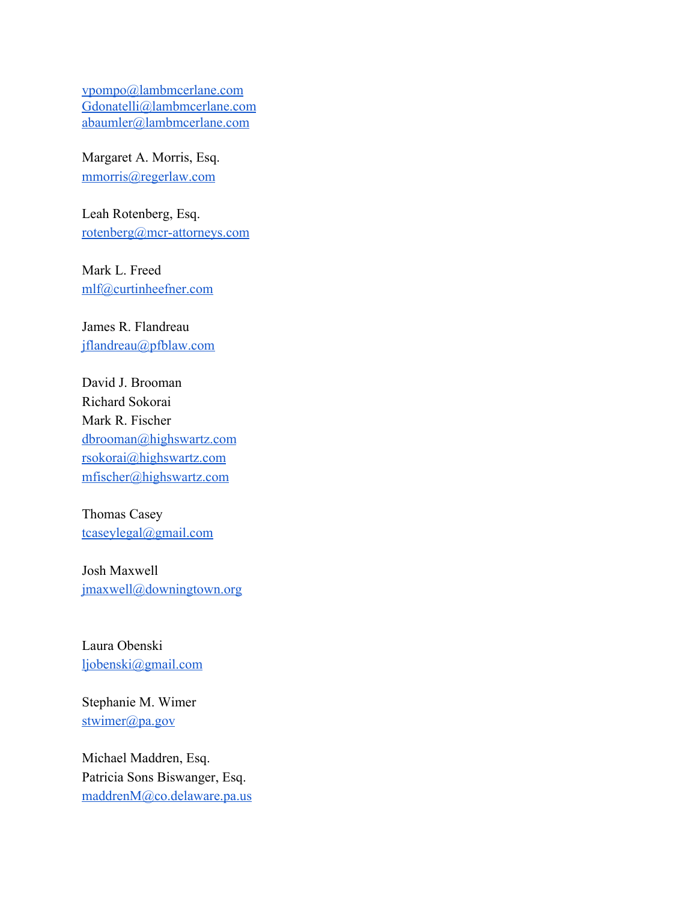[vpompo@lambmcerlane.com](mailto:vpompo@lambmcerlane.com) [Gdonatelli@lambmcerlane.com](mailto:Gdonatelli@lambmcerlane.com) [abaumler@lambmcerlane.com](mailto:abaumler@lambmcerlane.com)

Margaret A. Morris, Esq. [mmorris@regerlaw.com](mailto:mmorris@regerlaw.com)

Leah Rotenberg, Esq. [rotenberg@mcr-attorneys.com](mailto:rotenberg@mcr-attorneys.com)

Mark L. Freed [mlf@curtinheefner.com](mailto:mlf@curtinheefner.com)

James R. Flandreau [jflandreau@pfblaw.com](mailto:jflandreau@pfblaw.com)

David J. Brooman Richard Sokorai Mark R. Fischer [dbrooman@highswartz.com](mailto:dbrooman@highswartz.com) [rsokorai@highswartz.com](mailto:rsokorai@highswartz.com) [mfischer@highswartz.com](mailto:mfischer@highswartz.com)

Thomas Casey [tcaseylegal@gmail.com](mailto:tcaseylegal@gmail.com)

Josh Maxwell [jmaxwell@downingtown.org](mailto:jmaxwell@downingtown.org)

Laura Obenski [ljobenski@gmail.com](mailto:ljobenski@gmail.com)

Stephanie M. Wimer  $stwinner$ ( $@pa.gov$ 

Michael Maddren, Esq. Patricia Sons Biswanger, Esq. [maddrenM@co.delaware.pa.us](mailto:maddrenM@co.delaware.pa.us)